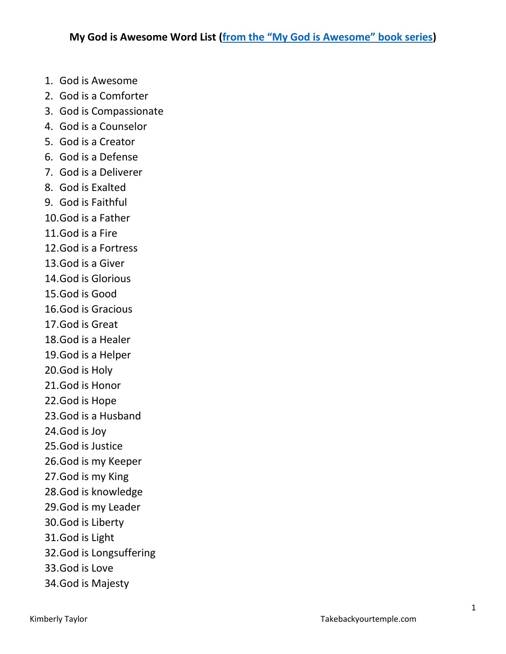- 1. God is Awesome
- 2. God is a Comforter
- 3. God is Compassionate
- 4. God is a Counselor
- 5. God is a Creator
- 6. God is a Defense
- 7. God is a Deliverer
- 8. God is Exalted
- 9. God is Faithful
- 10.God is a Father
- 11.God is a Fire
- 12.God is a Fortress
- 13.God is a Giver
- 14.God is Glorious
- 15.God is Good
- 16.God is Gracious
- 17.God is Great
- 18.God is a Healer
- 19.God is a Helper
- 20.God is Holy
- 21.God is Honor
- 22.God is Hope
- 23.God is a Husband
- 24.God is Joy
- 25.God is Justice
- 26.God is my Keeper
- 27.God is my King
- 28.God is knowledge
- 29.God is my Leader
- 30.God is Liberty
- 31.God is Light
- 32.God is Longsuffering
- 33.God is Love
- 34.God is Majesty